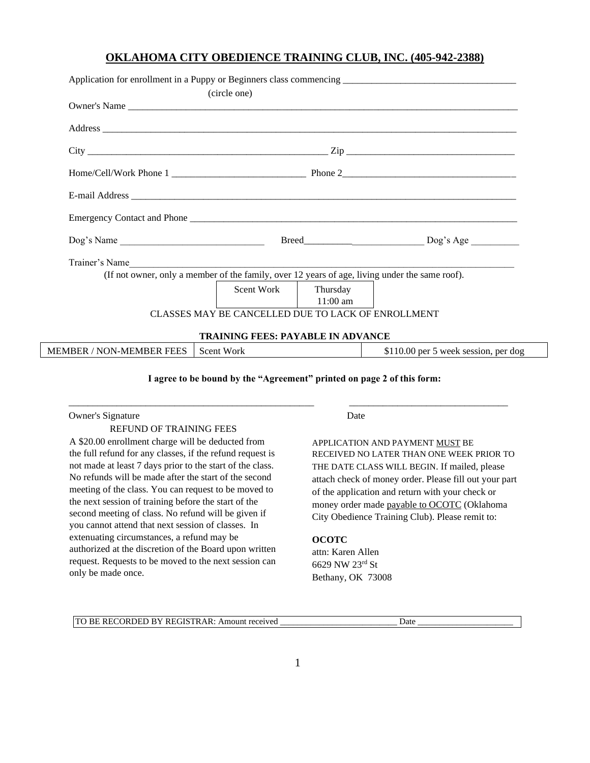# **OKLAHOMA CITY OBEDIENCE TRAINING CLUB, INC. (405-942-2388)**

|                          | (circle one)                                                                                   |                            |                                      |  |
|--------------------------|------------------------------------------------------------------------------------------------|----------------------------|--------------------------------------|--|
|                          |                                                                                                |                            |                                      |  |
|                          |                                                                                                |                            |                                      |  |
|                          |                                                                                                |                            |                                      |  |
|                          |                                                                                                |                            |                                      |  |
|                          |                                                                                                |                            |                                      |  |
|                          |                                                                                                |                            |                                      |  |
| Dog's Name               |                                                                                                |                            |                                      |  |
| Trainer's Name           |                                                                                                |                            |                                      |  |
|                          | (If not owner, only a member of the family, over 12 years of age, living under the same roof). |                            |                                      |  |
|                          | Scent Work Thursday                                                                            | $11:00$ am                 |                                      |  |
|                          | CLASSES MAY BE CANCELLED DUE TO LACK OF ENROLLMENT                                             |                            |                                      |  |
|                          | <b>TRAINING FEES: PAYABLE IN ADVANCE</b>                                                       |                            |                                      |  |
| MEMBER / NON-MEMBER FEES | Scent Work                                                                                     | $\mathcal{L}(\mathcal{A})$ | \$110.00 per 5 week session, per dog |  |

### **I agree to be bound by the "Agreement" printed on page 2 of this form:**

\_\_\_\_\_\_\_\_\_\_\_\_\_\_\_\_\_\_\_\_\_\_\_\_\_\_\_\_\_\_\_\_\_\_\_\_\_\_\_\_\_\_\_\_\_\_\_\_\_\_\_ \_\_\_\_\_\_\_\_\_\_\_\_\_\_\_\_\_\_\_\_\_\_\_\_\_\_\_\_\_\_\_\_\_

### Owner's Signature Date

## REFUND OF TRAINING FEES

A \$20.00 enrollment charge will be deducted from the full refund for any classes, if the refund request is not made at least 7 days prior to the start of the class. No refunds will be made after the start of the second meeting of the class. You can request to be moved to the next session of training before the start of the second meeting of class. No refund will be given if you cannot attend that next session of classes. In extenuating circumstances, a refund may be authorized at the discretion of the Board upon written request. Requests to be moved to the next session can only be made once.

APPLICATION AND PAYMENT MUST BE RECEIVED NO LATER THAN ONE WEEK PRIOR TO THE DATE CLASS WILL BEGIN. If mailed, please attach check of money order. Please fill out your part of the application and return with your check or money order made payable to OCOTC (Oklahoma City Obedience Training Club). Please remit to:

### **OCOTC**

attn: Karen Allen 6629 NW 23rd St Bethany, OK 73008

TO BE RECORDED BY REGISTRAR: Amount received \_\_\_\_\_\_\_\_\_\_\_\_\_\_\_\_\_\_\_\_\_\_\_\_\_\_\_\_\_\_\_\_Date